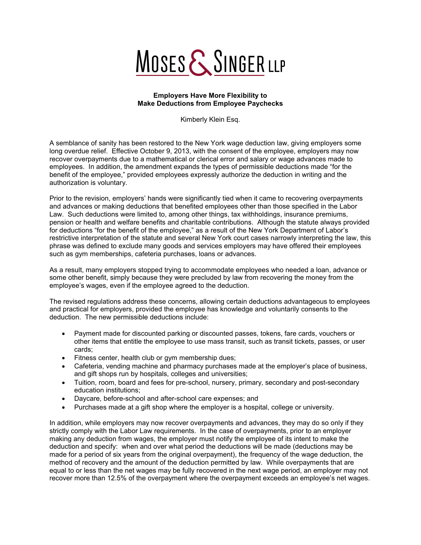## MOSES & SINGER LLP

## **Employers Have More Flexibility to Make Deductions from Employee Paychecks**

Kimberly Klein Esq.

A semblance of sanity has been restored to the New York wage deduction law, giving employers some long overdue relief. Effective October 9, 2013, with the consent of the employee, employers may now recover overpayments due to a mathematical or clerical error and salary or wage advances made to employees. In addition, the amendment expands the types of permissible deductions made "for the benefit of the employee," provided employees expressly authorize the deduction in writing and the authorization is voluntary.

Prior to the revision, employers' hands were significantly tied when it came to recovering overpayments and advances or making deductions that benefited employees other than those specified in the Labor Law. Such deductions were limited to, among other things, tax withholdings, insurance premiums, pension or health and welfare benefits and charitable contributions. Although the statute always provided for deductions "for the benefit of the employee," as a result of the New York Department of Labor's restrictive interpretation of the statute and several New York court cases narrowly interpreting the law, this phrase was defined to exclude many goods and services employers may have offered their employees such as gym memberships, cafeteria purchases, loans or advances.

As a result, many employers stopped trying to accommodate employees who needed a loan, advance or some other benefit, simply because they were precluded by law from recovering the money from the employee's wages, even if the employee agreed to the deduction.

The revised regulations address these concerns, allowing certain deductions advantageous to employees and practical for employers, provided the employee has knowledge and voluntarily consents to the deduction. The new permissible deductions include:

- Payment made for discounted parking or discounted passes, tokens, fare cards, vouchers or other items that entitle the employee to use mass transit, such as transit tickets, passes, or user cards;
- Fitness center, health club or gym membership dues;
- Cafeteria, vending machine and pharmacy purchases made at the employer's place of business, and gift shops run by hospitals, colleges and universities;
- Tuition, room, board and fees for pre-school, nursery, primary, secondary and post-secondary education institutions;
- Daycare, before-school and after-school care expenses; and
- Purchases made at a gift shop where the employer is a hospital, college or university.

In addition, while employers may now recover overpayments and advances, they may do so only if they strictly comply with the Labor Law requirements. In the case of overpayments, prior to an employer making any deduction from wages, the employer must notify the employee of its intent to make the deduction and specify: when and over what period the deductions will be made (deductions may be made for a period of six years from the original overpayment), the frequency of the wage deduction, the method of recovery and the amount of the deduction permitted by law. While overpayments that are equal to or less than the net wages may be fully recovered in the next wage period, an employer may not recover more than 12.5% of the overpayment where the overpayment exceeds an employee's net wages.